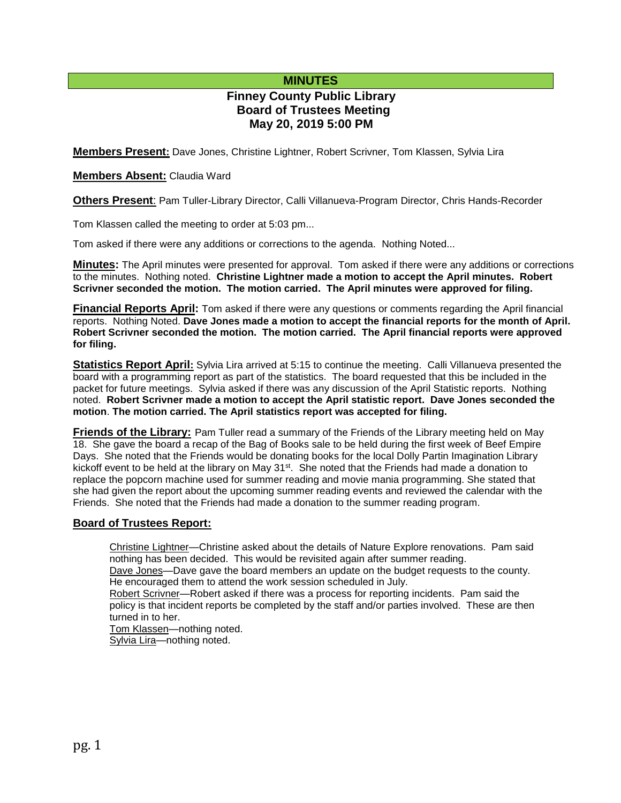# **MINUTES**

# **Finney County Public Library Board of Trustees Meeting May 20, 2019 5:00 PM**

**Members Present:** Dave Jones, Christine Lightner, Robert Scrivner, Tom Klassen, Sylvia Lira

## **Members Absent:** Claudia Ward

**Others Present**: Pam Tuller-Library Director, Calli Villanueva-Program Director, Chris Hands-Recorder

Tom Klassen called the meeting to order at 5:03 pm...

Tom asked if there were any additions or corrections to the agenda. Nothing Noted...

**Minutes:** The April minutes were presented for approval. Tom asked if there were any additions or corrections to the minutes. Nothing noted. **Christine Lightner made a motion to accept the April minutes. Robert Scrivner seconded the motion. The motion carried. The April minutes were approved for filing.** 

**Financial Reports April:** Tom asked if there were any questions or comments regarding the April financial reports. Nothing Noted. **Dave Jones made a motion to accept the financial reports for the month of April. Robert Scrivner seconded the motion. The motion carried. The April financial reports were approved for filing.**

**Statistics Report April:** Sylvia Lira arrived at 5:15 to continue the meeting. Calli Villanueva presented the board with a programming report as part of the statistics. The board requested that this be included in the packet for future meetings. Sylvia asked if there was any discussion of the April Statistic reports. Nothing noted. **Robert Scrivner made a motion to accept the April statistic report. Dave Jones seconded the motion**. **The motion carried. The April statistics report was accepted for filing.**

**Friends of the Library:** Pam Tuller read a summary of the Friends of the Library meeting held on May 18. She gave the board a recap of the Bag of Books sale to be held during the first week of Beef Empire Days. She noted that the Friends would be donating books for the local Dolly Partin Imagination Library kickoff event to be held at the library on May 31st. She noted that the Friends had made a donation to replace the popcorn machine used for summer reading and movie mania programming. She stated that she had given the report about the upcoming summer reading events and reviewed the calendar with the Friends. She noted that the Friends had made a donation to the summer reading program.

## **Board of Trustees Report:**

Christine Lightner—Christine asked about the details of Nature Explore renovations. Pam said nothing has been decided. This would be revisited again after summer reading. Dave Jones—Dave gave the board members an update on the budget requests to the county. He encouraged them to attend the work session scheduled in July.

Robert Scrivner—Robert asked if there was a process for reporting incidents. Pam said the policy is that incident reports be completed by the staff and/or parties involved. These are then turned in to her.

Tom Klassen-nothing noted. Sylvia Lira—nothing noted.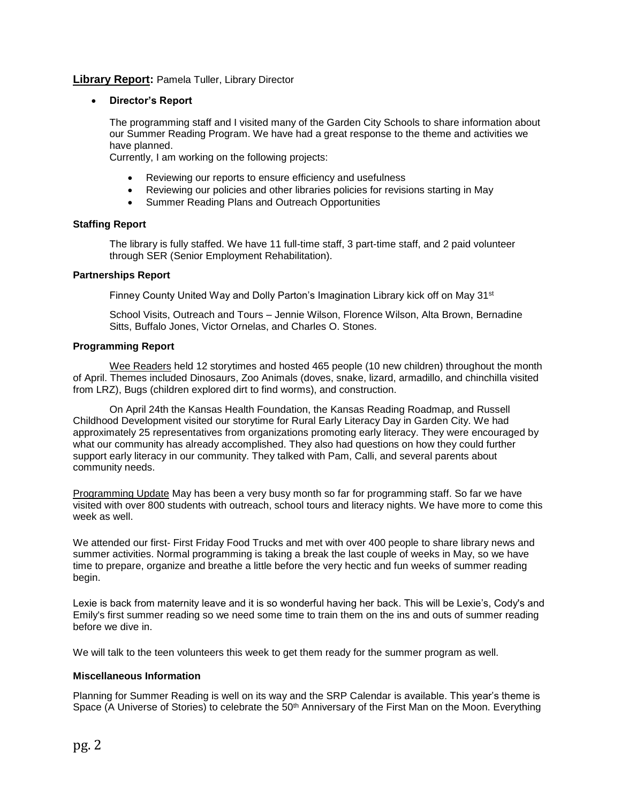## **Library Report:** Pamela Tuller, Library Director

### **Director's Report**

The programming staff and I visited many of the Garden City Schools to share information about our Summer Reading Program. We have had a great response to the theme and activities we have planned.

Currently, I am working on the following projects:

- Reviewing our reports to ensure efficiency and usefulness
- Reviewing our policies and other libraries policies for revisions starting in May
- Summer Reading Plans and Outreach Opportunities

## **Staffing Report**

The library is fully staffed. We have 11 full-time staff, 3 part-time staff, and 2 paid volunteer through SER (Senior Employment Rehabilitation).

#### **Partnerships Report**

Finney County United Way and Dolly Parton's Imagination Library kick off on May 31<sup>st</sup>

School Visits, Outreach and Tours – Jennie Wilson, Florence Wilson, Alta Brown, Bernadine Sitts, Buffalo Jones, Victor Ornelas, and Charles O. Stones.

### **Programming Report**

Wee Readers held 12 storytimes and hosted 465 people (10 new children) throughout the month of April. Themes included Dinosaurs, Zoo Animals (doves, snake, lizard, armadillo, and chinchilla visited from LRZ), Bugs (children explored dirt to find worms), and construction.

On April 24th the Kansas Health Foundation, the Kansas Reading Roadmap, and Russell Childhood Development visited our storytime for Rural Early Literacy Day in Garden City. We had approximately 25 representatives from organizations promoting early literacy. They were encouraged by what our community has already accomplished. They also had questions on how they could further support early literacy in our community. They talked with Pam, Calli, and several parents about community needs.

Programming Update May has been a very busy month so far for programming staff. So far we have visited with over 800 students with outreach, school tours and literacy nights. We have more to come this week as well.

We attended our first- First Friday Food Trucks and met with over 400 people to share library news and summer activities. Normal programming is taking a break the last couple of weeks in May, so we have time to prepare, organize and breathe a little before the very hectic and fun weeks of summer reading begin.

Lexie is back from maternity leave and it is so wonderful having her back. This will be Lexie's, Cody's and Emily's first summer reading so we need some time to train them on the ins and outs of summer reading before we dive in.

We will talk to the teen volunteers this week to get them ready for the summer program as well.

#### **Miscellaneous Information**

Planning for Summer Reading is well on its way and the SRP Calendar is available. This year's theme is Space (A Universe of Stories) to celebrate the 50<sup>th</sup> Anniversary of the First Man on the Moon. Everything